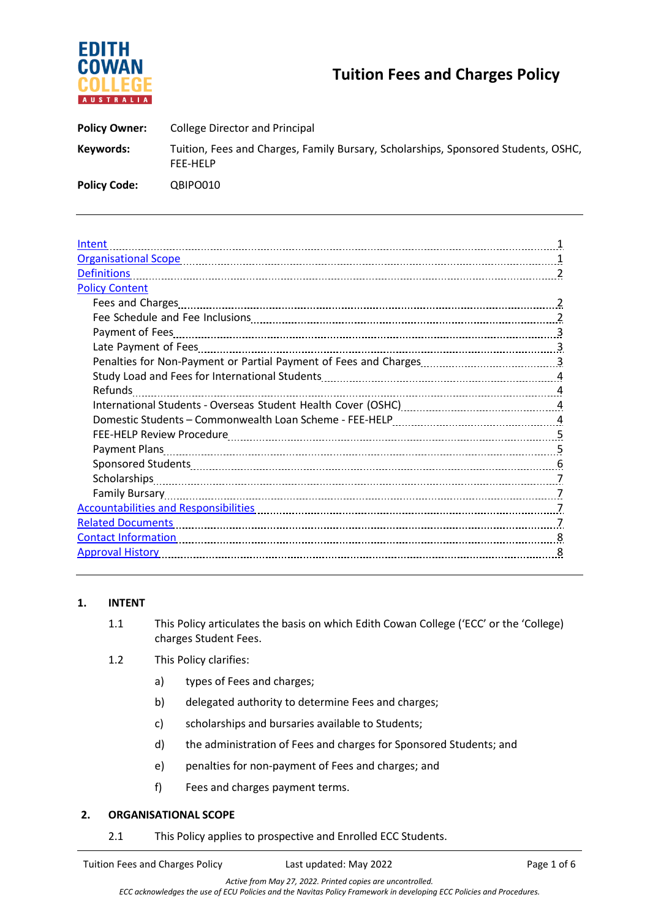

# **Tuition Fees and Charges Policy**

| <b>Policy Owner:</b> | College Director and Principal                                                                 |
|----------------------|------------------------------------------------------------------------------------------------|
| Keywords:            | Tuition, Fees and Charges, Family Bursary, Scholarships, Sponsored Students, OSHC,<br>FEE-HELP |
| <b>Policy Code:</b>  | QBIPO010                                                                                       |

| Intent                                                                                                                                                                                                                         |  |  |
|--------------------------------------------------------------------------------------------------------------------------------------------------------------------------------------------------------------------------------|--|--|
| Organisational Scope 1996 1996 1997 1998 1999 10: 13 million 1 and 1 and 1 and 1 and 1 and 1 and 1 and 1 and 1                                                                                                                 |  |  |
| <b>Definitions</b>                                                                                                                                                                                                             |  |  |
| <b>Policy Content</b>                                                                                                                                                                                                          |  |  |
| Fees and Charges                                                                                                                                                                                                               |  |  |
|                                                                                                                                                                                                                                |  |  |
|                                                                                                                                                                                                                                |  |  |
|                                                                                                                                                                                                                                |  |  |
|                                                                                                                                                                                                                                |  |  |
|                                                                                                                                                                                                                                |  |  |
| Refunds                                                                                                                                                                                                                        |  |  |
| International Students - Overseas Student Health Cover (OSHC) [11] [2012] 11.12.12.12.12.12.12.12.12.12.12.12                                                                                                                  |  |  |
|                                                                                                                                                                                                                                |  |  |
|                                                                                                                                                                                                                                |  |  |
|                                                                                                                                                                                                                                |  |  |
|                                                                                                                                                                                                                                |  |  |
|                                                                                                                                                                                                                                |  |  |
|                                                                                                                                                                                                                                |  |  |
| Accountabilities and Responsibilities [11] Account and Accountabilities and Responsibilities [11] Accountabilities and Responsibilities [11] Accountabilities and Responsibilities [11] Accountabilities [11] Accountabilities |  |  |
| <b>Related Documents</b>                                                                                                                                                                                                       |  |  |
|                                                                                                                                                                                                                                |  |  |
| <b>Approval History</b>                                                                                                                                                                                                        |  |  |
|                                                                                                                                                                                                                                |  |  |

# **1. INTENT**

- 1.1 This Policy articulates the basis on which Edith Cowan College ('ECC' or the 'College) charges Student Fees.
- 1.2 This Policy clarifies:
	- a) types of Fees and charges;
	- b) delegated authority to determine Fees and charges;
	- c) scholarships and bursaries available to Students;
	- d) the administration of Fees and charges for Sponsored Students; and
	- e) penalties for non-payment of Fees and charges; and
	- f) Fees and charges payment terms.

#### **2. ORGANISATIONAL SCOPE**

2.1 This Policy applies to prospective and Enrolled ECC Students.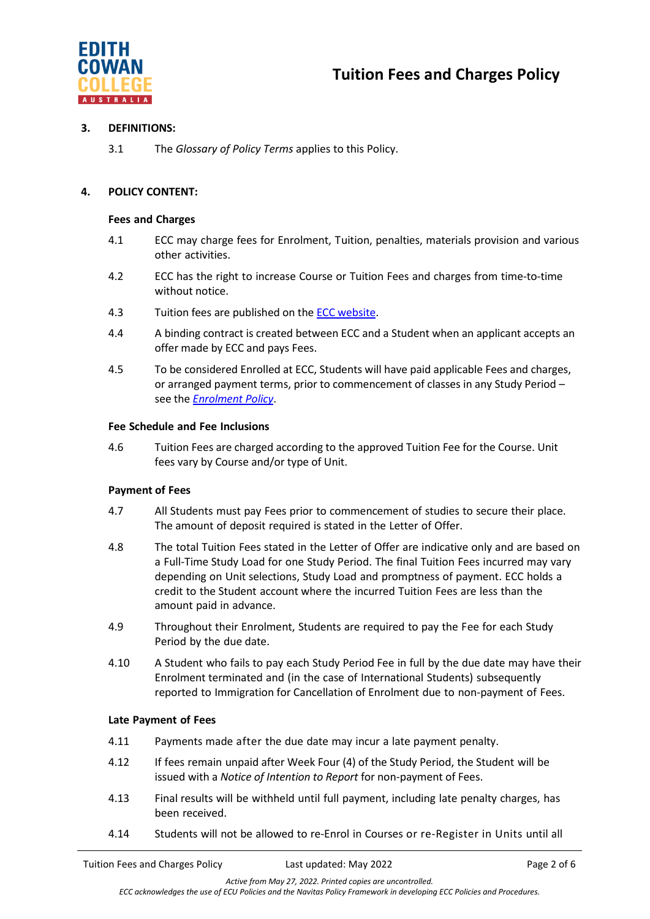

## **3. DEFINITIONS:**

3.1 The *Glossary of Policy Terms* applies to this Policy.

# **4. POLICY CONTENT:**

## **Fees and Charges**

- 4.1 ECC may charge fees for Enrolment, Tuition, penalties, materials provision and various other activities.
- 4.2 ECC has the right to increase Course or Tuition Fees and charges from time-to-time without notice.
- 4.3 Tuition fees are published on the [ECC website.](https://www.edithcowancollege.edu.au/fees)
- 4.4 A binding contract is created between ECC and a Student when an applicant accepts an offer made by ECC and pays Fees.
- 4.5 To be considered Enrolled at ECC, Students will have paid applicable Fees and charges, or arranged payment terms, prior to commencement of classes in any Study Period – see the *[Enrolment Policy](https://4ba8a17f01f843446fde-df22fcb26686c8be7ff55766cd6a4144.ssl.cf6.rackcdn.com/73_ECC_Enrolment_Policy.pdf)*.

## **Fee Schedule and Fee Inclusions**

4.6 Tuition Fees are charged according to the approved Tuition Fee for the Course. Unit fees vary by Course and/or type of Unit.

# **Payment of Fees**

- 4.7 All Students must pay Fees prior to commencement of studies to secure their place. The amount of deposit required is stated in the Letter of Offer.
- 4.8 The total Tuition Fees stated in the Letter of Offer are indicative only and are based on a Full-Time Study Load for one Study Period. The final Tuition Fees incurred may vary depending on Unit selections, Study Load and promptness of payment. ECC holds a credit to the Student account where the incurred Tuition Fees are less than the amount paid in advance.
- 4.9 Throughout their Enrolment, Students are required to pay the Fee for each Study Period by the due date.
- 4.10 A Student who fails to pay each Study Period Fee in full by the due date may have their Enrolment terminated and (in the case of International Students) subsequently reported to Immigration for Cancellation of Enrolment due to non-payment of Fees.

# **Late Payment of Fees**

- 4.11 Payments made after the due date may incur a late payment penalty.
- 4.12 If fees remain unpaid after Week Four (4) of the Study Period, the Student will be issued with a *Notice of Intention to Report* for non-payment of Fees.
- 4.13 Final results will be withheld until full payment, including late penalty charges, has been received.
- 4.14 Students will not be allowed to re-Enrol in Courses or re-Register in Units until all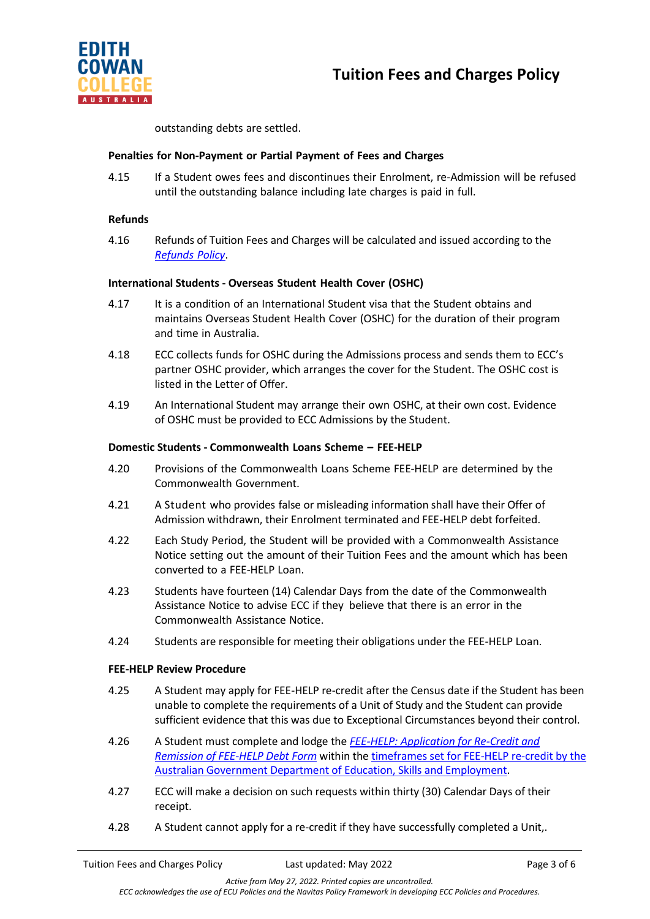



outstanding debts are settled.

### **Penalties for Non-Payment or Partial Payment of Fees and Charges**

4.15 If a Student owes fees and discontinues their Enrolment, re-Admission will be refused until the outstanding balance including late charges is paid in full.

#### **Refunds**

4.16 Refunds of Tuition Fees and Charges will be calculated and issued according to the *[Refunds](https://4ba8a17f01f843446fde-df22fcb26686c8be7ff55766cd6a4144.ssl.cf6.rackcdn.com/73_Refunds_Policy_(2020).pdf) Policy*.

## **International Students - Overseas Student Health Cover (OSHC)**

- 4.17 It is a condition of an International Student visa that the Student obtains and maintains Overseas Student Health Cover (OSHC) for the duration of their program and time in Australia.
- 4.18 ECC collects funds for OSHC during the Admissions process and sends them to ECC's partner OSHC provider, which arranges the cover for the Student. The OSHC cost is listed in the Letter of Offer.
- 4.19 An International Student may arrange their own OSHC, at their own cost. Evidence of OSHC must be provided to ECC Admissions by the Student.

## **Domestic Students - Commonwealth Loans Scheme – FEE-HELP**

- 4.20 Provisions of the Commonwealth Loans Scheme FEE-HELP are determined by the Commonwealth Government.
- 4.21 A Student who provides false or misleading information shall have their Offer of Admission withdrawn, their Enrolment terminated and FEE-HELP debt forfeited.
- 4.22 Each Study Period, the Student will be provided with a Commonwealth Assistance Notice setting out the amount of their Tuition Fees and the amount which has been converted to a FEE-HELP Loan.
- 4.23 Students have fourteen (14) Calendar Days from the date of the Commonwealth Assistance Notice to advise ECC if they believe that there is an error in the Commonwealth Assistance Notice.
- 4.24 Students are responsible for meeting their obligations under the FEE-HELP Loan.

#### **FEE-HELP Review Procedure**

- 4.25 A Student may apply for FEE-HELP re-credit after the Census date if the Student has been unable to complete the requirements of a Unit of Study and the Student can provide sufficient evidence that this was due to Exceptional Circumstances beyond their control.
- 4.26 A Student must complete and lodge the *[FEE-HELP: Application for Re-Credit and](https://4ba8a17f01f843446fde-df22fcb26686c8be7ff55766cd6a4144.ssl.cf6.rackcdn.com/73_ECC_FEE-HELP_Re-Crediting_and_Remission_Form.pdf)  [Remission of FEE-HELP Debt Form](https://4ba8a17f01f843446fde-df22fcb26686c8be7ff55766cd6a4144.ssl.cf6.rackcdn.com/73_ECC_FEE-HELP_Re-Crediting_and_Remission_Form.pdf)* within the [timeframes set for FEE-HELP re-credit by the](https://www.dese.gov.au/higher-education-publications/higher-education-administrative-information-providers-october-2021/42-recrediting-remission-and-repayment)  [Australian Government Department of Education, Skills and Employment.](https://www.dese.gov.au/higher-education-publications/higher-education-administrative-information-providers-october-2021/42-recrediting-remission-and-repayment)
- 4.27 ECC will make a decision on such requests within thirty (30) Calendar Days of their receipt.
- 4.28 A Student cannot apply for a re-credit if they have successfully completed a Unit,.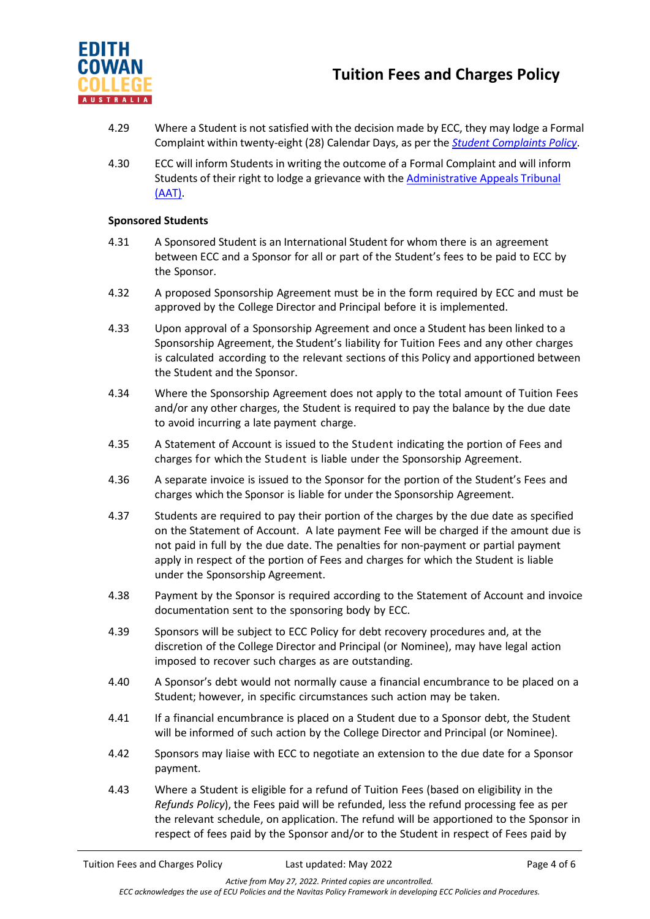

- 4.29 Where a Student is not satisfied with the decision made by ECC, they may lodge a Formal Complaint within twenty-eight (28) Calendar Days, as per the *[Student Complaints Policy](https://4ba8a17f01f843446fde-df22fcb26686c8be7ff55766cd6a4144.ssl.cf6.rackcdn.com/73_ECC_Student_Complaints_Policy.pdf)*.
- 4.30 ECC will inform Students in writing the outcome of a Formal Complaint and will inform Students of their right to lodge a grievance with th[e Administrative Appeals Tribunal](https://www.aat.gov.au/)  [\(AAT\).](https://www.aat.gov.au/)

#### **Sponsored Students**

- 4.31 A Sponsored Student is an International Student for whom there is an agreement between ECC and a Sponsor for all or part of the Student's fees to be paid to ECC by the Sponsor.
- 4.32 A proposed Sponsorship Agreement must be in the form required by ECC and must be approved by the College Director and Principal before it is implemented.
- 4.33 Upon approval of a Sponsorship Agreement and once a Student has been linked to a Sponsorship Agreement, the Student's liability for Tuition Fees and any other charges is calculated according to the relevant sections of this Policy and apportioned between the Student and the Sponsor.
- 4.34 Where the Sponsorship Agreement does not apply to the total amount of Tuition Fees and/or any other charges, the Student is required to pay the balance by the due date to avoid incurring a late payment charge.
- 4.35 A Statement of Account is issued to the Student indicating the portion of Fees and charges for which the Student is liable under the Sponsorship Agreement.
- 4.36 A separate invoice is issued to the Sponsor for the portion of the Student's Fees and charges which the Sponsor is liable for under the Sponsorship Agreement.
- 4.37 Students are required to pay their portion of the charges by the due date as specified on the Statement of Account. A late payment Fee will be charged if the amount due is not paid in full by the due date. The penalties for non-payment or partial payment apply in respect of the portion of Fees and charges for which the Student is liable under the Sponsorship Agreement.
- 4.38 Payment by the Sponsor is required according to the Statement of Account and invoice documentation sent to the sponsoring body by ECC.
- 4.39 Sponsors will be subject to ECC Policy for debt recovery procedures and, at the discretion of the College Director and Principal (or Nominee), may have legal action imposed to recover such charges as are outstanding.
- 4.40 A Sponsor's debt would not normally cause a financial encumbrance to be placed on a Student; however, in specific circumstances such action may be taken.
- 4.41 If a financial encumbrance is placed on a Student due to a Sponsor debt, the Student will be informed of such action by the College Director and Principal (or Nominee).
- 4.42 Sponsors may liaise with ECC to negotiate an extension to the due date for a Sponsor payment.
- 4.43 Where a Student is eligible for a refund of Tuition Fees (based on eligibility in the *Refunds Policy*), the Fees paid will be refunded, less the refund processing fee as per the relevant schedule, on application. The refund will be apportioned to the Sponsor in respect of fees paid by the Sponsor and/or to the Student in respect of Fees paid by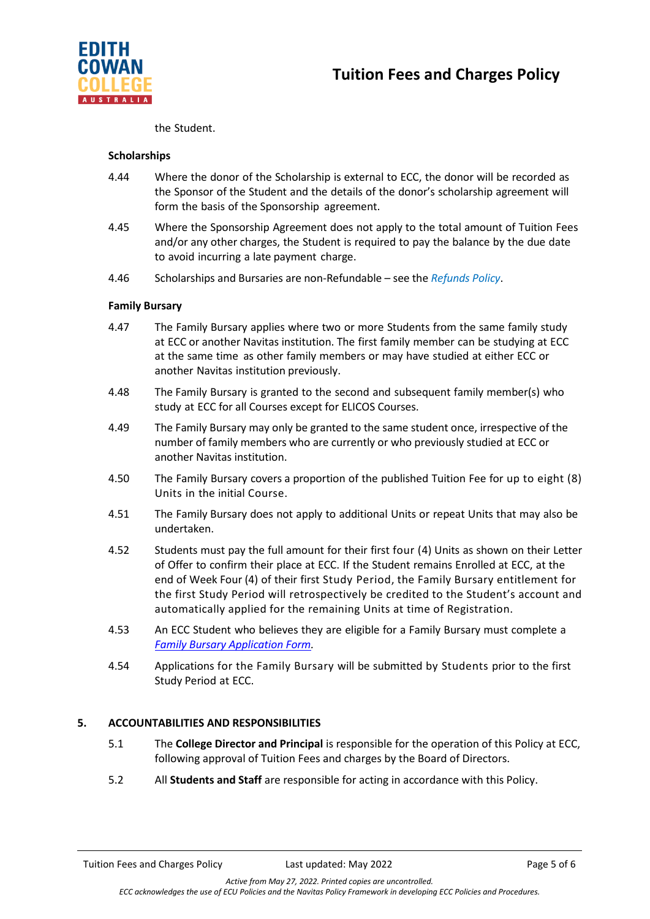



the Student.

#### **Scholarships**

- 4.44 Where the donor of the Scholarship is external to ECC, the donor will be recorded as the Sponsor of the Student and the details of the donor's scholarship agreement will form the basis of the Sponsorship agreement.
- 4.45 Where the Sponsorship Agreement does not apply to the total amount of Tuition Fees and/or any other charges, the Student is required to pay the balance by the due date to avoid incurring a late payment charge.
- 4.46 Scholarships and Bursaries are non-Refundable see the *Refunds Policy*.

#### **Family Bursary**

- 4.47 The Family Bursary applies where two or more Students from the same family study at ECC or another Navitas institution. The first family member can be studying at ECC at the same time as other family members or may have studied at either ECC or another Navitas institution previously.
- 4.48 The Family Bursary is granted to the second and subsequent family member(s) who study at ECC for all Courses except for ELICOS Courses.
- 4.49 The Family Bursary may only be granted to the same student once, irrespective of the number of family members who are currently or who previously studied at ECC or another Navitas institution.
- 4.50 The Family Bursary covers a proportion of the published Tuition Fee for up to eight (8) Units in the initial Course.
- 4.51 The Family Bursary does not apply to additional Units or repeat Units that may also be undertaken.
- 4.52 Students must pay the full amount for their first four (4) Units as shown on their Letter of Offer to confirm their place at ECC. If the Student remains Enrolled at ECC, at the end of Week Four (4) of their first Study Period, the Family Bursary entitlement for the first Study Period will retrospectively be credited to the Student's account and automatically applied for the remaining Units at time of Registration.
- 4.53 An ECC Student who believes they are eligible for a Family Bursary must complete a *[Family Bursary Application Form.](https://4ba8a17f01f843446fde-df22fcb26686c8be7ff55766cd6a4144.ssl.cf6.rackcdn.com/73_Navitas_Family_Bursary_Form.pdf)*
- 4.54 Applications for the Family Bursary will be submitted by Students prior to the first Study Period at ECC.

#### **5. ACCOUNTABILITIES AND RESPONSIBILITIES**

- 5.1 The **College Director and Principal** is responsible for the operation of this Policy at ECC, following approval of Tuition Fees and charges by the Board of Directors.
- 5.2 All **Students and Staff** are responsible for acting in accordance with this Policy.